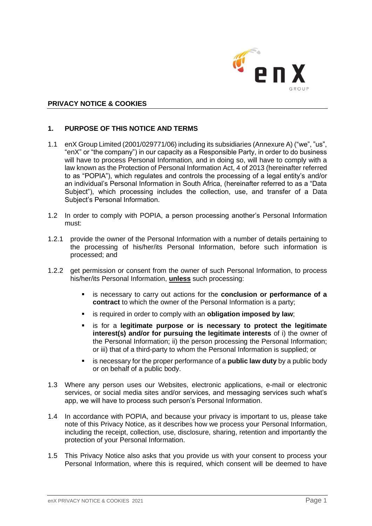

### **PRIVACY NOTICE & COOKIES**

### **1. PURPOSE OF THIS NOTICE AND TERMS**

- 1.1 enX Group Limited (2001/029771/06) including its subsidiaries (Annexure A) ("we", "us", "enX" or "the company") in our capacity as a Responsible Party, in order to do business will have to process Personal Information, and in doing so, will have to comply with a law known as the Protection of Personal Information Act, 4 of 2013 (hereinafter referred to as "POPIA"), which regulates and controls the processing of a legal entity's and/or an individual's Personal Information in South Africa, (hereinafter referred to as a "Data Subject"), which processing includes the collection, use, and transfer of a Data Subject's Personal Information.
- 1.2 In order to comply with POPIA, a person processing another's Personal Information must:
- 1.2.1 provide the owner of the Personal Information with a number of details pertaining to the processing of his/her/its Personal Information, before such information is processed; and
- 1.2.2 get permission or consent from the owner of such Personal Information, to process his/her/its Personal Information, **unless** such processing:
	- is necessary to carry out actions for the **conclusion or performance of a contract** to which the owner of the Personal Information is a party;
	- is required in order to comply with an **obligation imposed by law**;
	- is for a **legitimate purpose or is necessary to protect the legitimate interest(s) and/or for pursuing the legitimate interests** of i) the owner of the Personal Information; ii) the person processing the Personal Information; or iii) that of a third-party to whom the Personal Information is supplied; or
	- is necessary for the proper performance of a **public law duty** by a public body or on behalf of a public body.
- 1.3 Where any person uses our Websites, electronic applications, e-mail or electronic services, or social media sites and/or services, and messaging services such what's app, we will have to process such person's Personal Information.
- 1.4 In accordance with POPIA, and because your privacy is important to us, please take note of this Privacy Notice, as it describes how we process your Personal Information, including the receipt, collection, use, disclosure, sharing, retention and importantly the protection of your Personal Information.
- 1.5 This Privacy Notice also asks that you provide us with your consent to process your Personal Information, where this is required, which consent will be deemed to have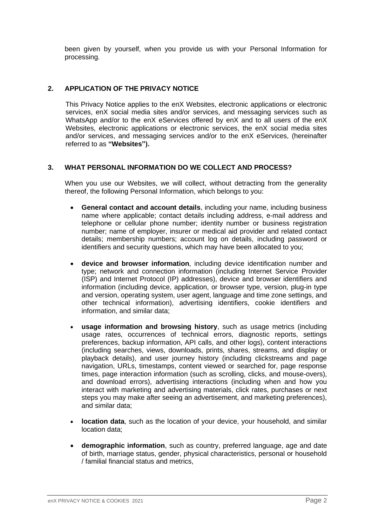been given by yourself, when you provide us with your Personal Information for processing.

# **2. APPLICATION OF THE PRIVACY NOTICE**

This Privacy Notice applies to the enX Websites, electronic applications or electronic services, enX social media sites and/or services, and messaging services such as WhatsApp and/or to the enX eServices offered by enX and to all users of the enX Websites, electronic applications or electronic services, the enX social media sites and/or services, and messaging services and/or to the enX eServices, (hereinafter referred to as **"Websites").**

#### **3. WHAT PERSONAL INFORMATION DO WE COLLECT AND PROCESS?**

When you use our Websites, we will collect, without detracting from the generality thereof, the following Personal Information, which belongs to you:

- **General contact and account details**, including your name, including business name where applicable; contact details including address, e-mail address and telephone or cellular phone number; identity number or business registration number; name of employer, insurer or medical aid provider and related contact details; membership numbers; account log on details, including password or identifiers and security questions, which may have been allocated to you;
- **device and browser information**, including device identification number and type; network and connection information (including Internet Service Provider (ISP) and Internet Protocol (IP) addresses), device and browser identifiers and information (including device, application, or browser type, version, plug-in type and version, operating system, user agent, language and time zone settings, and other technical information), advertising identifiers, cookie identifiers and information, and similar data;
- **usage information and browsing history**, such as usage metrics (including usage rates, occurrences of technical errors, diagnostic reports, settings preferences, backup information, API calls, and other logs), content interactions (including searches, views, downloads, prints, shares, streams, and display or playback details), and user journey history (including clickstreams and page navigation, URLs, timestamps, content viewed or searched for, page response times, page interaction information (such as scrolling, clicks, and mouse-overs), and download errors), advertising interactions (including when and how you interact with marketing and advertising materials, click rates, purchases or next steps you may make after seeing an advertisement, and marketing preferences), and similar data;
- **location data**, such as the location of your device, your household, and similar location data;
- **demographic information**, such as country, preferred language, age and date of birth, marriage status, gender, physical characteristics, personal or household / familial financial status and metrics,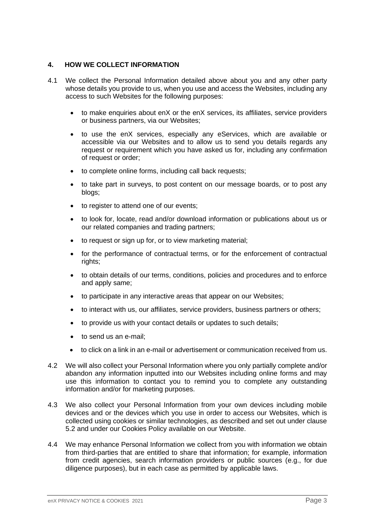## **4. HOW WE COLLECT INFORMATION**

- 4.1 We collect the Personal Information detailed above about you and any other party whose details you provide to us, when you use and access the Websites, including any access to such Websites for the following purposes:
	- to make enquiries about enX or the enX services, its affiliates, service providers or business partners, via our Websites;
	- to use the enX services, especially any eServices, which are available or accessible via our Websites and to allow us to send you details regards any request or requirement which you have asked us for, including any confirmation of request or order;
	- to complete online forms, including call back requests;
	- to take part in surveys, to post content on our message boards, or to post any blogs;
	- to register to attend one of our events;
	- to look for, locate, read and/or download information or publications about us or our related companies and trading partners;
	- to request or sign up for, or to view marketing material;
	- for the performance of contractual terms, or for the enforcement of contractual rights;
	- to obtain details of our terms, conditions, policies and procedures and to enforce and apply same;
	- to participate in any interactive areas that appear on our Websites;
	- to interact with us, our affiliates, service providers, business partners or others;
	- to provide us with your contact details or updates to such details;
	- to send us an e-mail;
	- to click on a link in an e-mail or advertisement or communication received from us.
- 4.2 We will also collect your Personal Information where you only partially complete and/or abandon any information inputted into our Websites including online forms and may use this information to contact you to remind you to complete any outstanding information and/or for marketing purposes.
- 4.3 We also collect your Personal Information from your own devices including mobile devices and or the devices which you use in order to access our Websites, which is collected using cookies or similar technologies, as described and set out under clause 5.2 and under our Cookies Policy available on our Website.
- 4.4 We may enhance Personal Information we collect from you with information we obtain from third-parties that are entitled to share that information; for example, information from credit agencies, search information providers or public sources (e.g., for due diligence purposes), but in each case as permitted by applicable laws.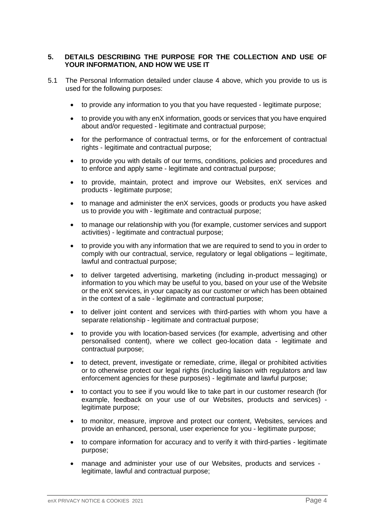## **5. DETAILS DESCRIBING THE PURPOSE FOR THE COLLECTION AND USE OF YOUR INFORMATION, AND HOW WE USE IT**

- 5.1 The Personal Information detailed under clause 4 above, which you provide to us is used for the following purposes:
	- to provide any information to you that you have requested legitimate purpose;
	- to provide you with any enX information, goods or services that you have enquired about and/or requested - legitimate and contractual purpose;
	- for the performance of contractual terms, or for the enforcement of contractual rights - legitimate and contractual purpose;
	- to provide you with details of our terms, conditions, policies and procedures and to enforce and apply same - legitimate and contractual purpose;
	- to provide, maintain, protect and improve our Websites, enX services and products - legitimate purpose;
	- to manage and administer the enX services, goods or products you have asked us to provide you with - legitimate and contractual purpose;
	- to manage our relationship with you (for example, customer services and support activities) - legitimate and contractual purpose;
	- to provide you with any information that we are required to send to you in order to comply with our contractual, service, regulatory or legal obligations – legitimate, lawful and contractual purpose;
	- to deliver targeted advertising, marketing (including in-product messaging) or information to you which may be useful to you, based on your use of the Website or the enX services, in your capacity as our customer or which has been obtained in the context of a sale - legitimate and contractual purpose;
	- to deliver joint content and services with third-parties with whom you have a separate relationship - legitimate and contractual purpose;
	- to provide you with location-based services (for example, advertising and other personalised content), where we collect geo-location data - legitimate and contractual purpose;
	- to detect, prevent, investigate or remediate, crime, illegal or prohibited activities or to otherwise protect our legal rights (including liaison with regulators and law enforcement agencies for these purposes) - legitimate and lawful purpose;
	- to contact you to see if you would like to take part in our customer research (for example, feedback on your use of our Websites, products and services) legitimate purpose;
	- to monitor, measure, improve and protect our content, Websites, services and provide an enhanced, personal, user experience for you - legitimate purpose;
	- to compare information for accuracy and to verify it with third-parties legitimate purpose;
	- manage and administer your use of our Websites, products and services legitimate, lawful and contractual purpose;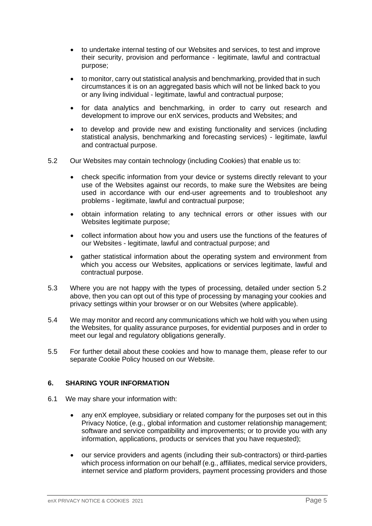- to undertake internal testing of our Websites and services, to test and improve their security, provision and performance - legitimate, lawful and contractual purpose;
- to monitor, carry out statistical analysis and benchmarking, provided that in such circumstances it is on an aggregated basis which will not be linked back to you or any living individual - legitimate, lawful and contractual purpose;
- for data analytics and benchmarking, in order to carry out research and development to improve our enX services, products and Websites; and
- to develop and provide new and existing functionality and services (including statistical analysis, benchmarking and forecasting services) - legitimate, lawful and contractual purpose.
- 5.2 Our Websites may contain technology (including Cookies) that enable us to:
	- check specific information from your device or systems directly relevant to your use of the Websites against our records, to make sure the Websites are being used in accordance with our end-user agreements and to troubleshoot any problems - legitimate, lawful and contractual purpose;
	- obtain information relating to any technical errors or other issues with our Websites legitimate purpose;
	- collect information about how you and users use the functions of the features of our Websites - legitimate, lawful and contractual purpose; and
	- gather statistical information about the operating system and environment from which you access our Websites, applications or services legitimate, lawful and contractual purpose.
- 5.3 Where you are not happy with the types of processing, detailed under section 5.2 above, then you can opt out of this type of processing by managing your cookies and privacy settings within your browser or on our Websites (where applicable).
- 5.4 We may monitor and record any communications which we hold with you when using the Websites, for quality assurance purposes, for evidential purposes and in order to meet our legal and regulatory obligations generally.
- 5.5 For further detail about these cookies and how to manage them, please refer to our separate Cookie Policy housed on our Website.

# **6. SHARING YOUR INFORMATION**

- 6.1 We may share your information with:
	- any enX employee, subsidiary or related company for the purposes set out in this Privacy Notice, (e.g., global information and customer relationship management; software and service compatibility and improvements; or to provide you with any information, applications, products or services that you have requested);
	- our service providers and agents (including their sub-contractors) or third-parties which process information on our behalf (e.g., affiliates, medical service providers, internet service and platform providers, payment processing providers and those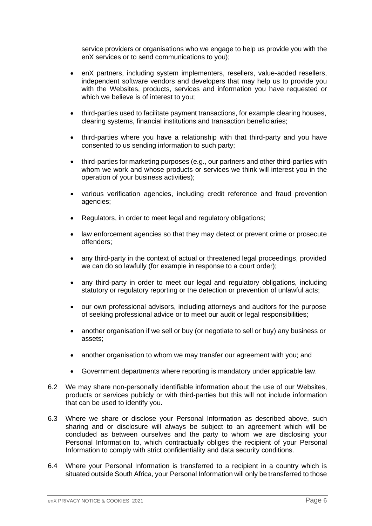service providers or organisations who we engage to help us provide you with the enX services or to send communications to you);

- enX partners, including system implementers, resellers, value-added resellers, independent software vendors and developers that may help us to provide you with the Websites, products, services and information you have requested or which we believe is of interest to you;
- third-parties used to facilitate payment transactions, for example clearing houses, clearing systems, financial institutions and transaction beneficiaries;
- third-parties where you have a relationship with that third-party and you have consented to us sending information to such party;
- third-parties for marketing purposes (e.g., our partners and other third-parties with whom we work and whose products or services we think will interest you in the operation of your business activities);
- various verification agencies, including credit reference and fraud prevention agencies;
- Regulators, in order to meet legal and regulatory obligations;
- law enforcement agencies so that they may detect or prevent crime or prosecute offenders;
- any third-party in the context of actual or threatened legal proceedings, provided we can do so lawfully (for example in response to a court order);
- any third-party in order to meet our legal and regulatory obligations, including statutory or regulatory reporting or the detection or prevention of unlawful acts;
- our own professional advisors, including attorneys and auditors for the purpose of seeking professional advice or to meet our audit or legal responsibilities;
- another organisation if we sell or buy (or negotiate to sell or buy) any business or assets;
- another organisation to whom we may transfer our agreement with you; and
- Government departments where reporting is mandatory under applicable law.
- 6.2 We may share non-personally identifiable information about the use of our Websites, products or services publicly or with third-parties but this will not include information that can be used to identify you.
- 6.3 Where we share or disclose your Personal Information as described above, such sharing and or disclosure will always be subject to an agreement which will be concluded as between ourselves and the party to whom we are disclosing your Personal Information to, which contractually obliges the recipient of your Personal Information to comply with strict confidentiality and data security conditions.
- 6.4 Where your Personal Information is transferred to a recipient in a country which is situated outside South Africa, your Personal Information will only be transferred to those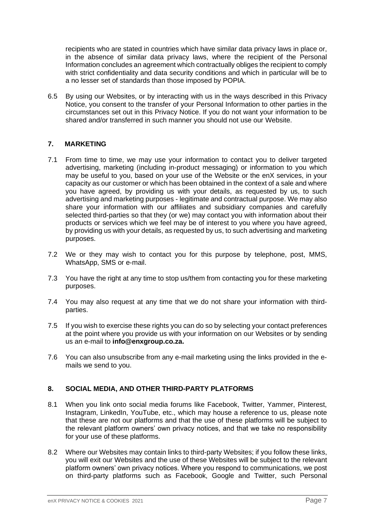recipients who are stated in countries which have similar data privacy laws in place or, in the absence of similar data privacy laws, where the recipient of the Personal Information concludes an agreement which contractually obliges the recipient to comply with strict confidentiality and data security conditions and which in particular will be to a no lesser set of standards than those imposed by POPIA.

6.5 By using our Websites, or by interacting with us in the ways described in this Privacy Notice, you consent to the transfer of your Personal Information to other parties in the circumstances set out in this Privacy Notice. If you do not want your information to be shared and/or transferred in such manner you should not use our Website.

# **7. MARKETING**

- 7.1 From time to time, we may use your information to contact you to deliver targeted advertising, marketing (including in-product messaging) or information to you which may be useful to you, based on your use of the Website or the enX services, in your capacity as our customer or which has been obtained in the context of a sale and where you have agreed, by providing us with your details, as requested by us, to such advertising and marketing purposes - legitimate and contractual purpose. We may also share your information with our affiliates and subsidiary companies and carefully selected third-parties so that they (or we) may contact you with information about their products or services which we feel may be of interest to you where you have agreed, by providing us with your details, as requested by us, to such advertising and marketing purposes.
- 7.2 We or they may wish to contact you for this purpose by telephone, post, MMS, WhatsApp, SMS or e-mail.
- 7.3 You have the right at any time to stop us/them from contacting you for these marketing purposes.
- 7.4 You may also request at any time that we do not share your information with thirdparties.
- 7.5 If you wish to exercise these rights you can do so by selecting your contact preferences at the point where you provide us with your information on our Websites or by sending us an e-mail to **info@enxgroup.co.za.**
- 7.6 You can also unsubscribe from any e-mail marketing using the links provided in the emails we send to you.

# **8. SOCIAL MEDIA, AND OTHER THIRD-PARTY PLATFORMS**

- 8.1 When you link onto social media forums like Facebook, Twitter, Yammer, Pinterest, Instagram, LinkedIn, YouTube, etc., which may house a reference to us, please note that these are not our platforms and that the use of these platforms will be subject to the relevant platform owners' own privacy notices, and that we take no responsibility for your use of these platforms.
- 8.2 Where our Websites may contain links to third-party Websites; if you follow these links, you will exit our Websites and the use of these Websites will be subject to the relevant platform owners' own privacy notices. Where you respond to communications, we post on third-party platforms such as Facebook, Google and Twitter, such Personal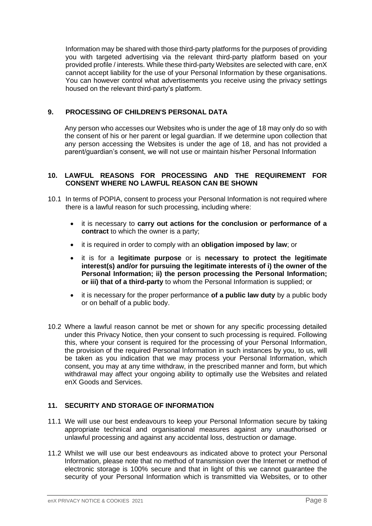Information may be shared with those third-party platforms for the purposes of providing you with targeted advertising via the relevant third-party platform based on your provided profile / interests. While these third-party Websites are selected with care, enX cannot accept liability for the use of your Personal Information by these organisations. You can however control what advertisements you receive using the privacy settings housed on the relevant third-party's platform.

## **9. PROCESSING OF CHILDREN'S PERSONAL DATA**

Any person who accesses our Websites who is under the age of 18 may only do so with the consent of his or her parent or legal guardian. If we determine upon collection that any person accessing the Websites is under the age of 18, and has not provided a parent/guardian's consent, we will not use or maintain his/her Personal Information

#### **10. LAWFUL REASONS FOR PROCESSING AND THE REQUIREMENT FOR CONSENT WHERE NO LAWFUL REASON CAN BE SHOWN**

- 10.1 In terms of POPIA, consent to process your Personal Information is not required where there is a lawful reason for such processing, including where:
	- it is necessary to **carry out actions for the conclusion or performance of a contract** to which the owner is a party;
	- it is required in order to comply with an **obligation imposed by law**; or
	- it is for a **legitimate purpose** or is **necessary to protect the legitimate interest(s) and/or for pursuing the legitimate interests of i) the owner of the Personal Information; ii) the person processing the Personal Information; or iii) that of a third-party** to whom the Personal Information is supplied; or
	- it is necessary for the proper performance **of a public law duty** by a public body or on behalf of a public body.
- 10.2 Where a lawful reason cannot be met or shown for any specific processing detailed under this Privacy Notice, then your consent to such processing is required. Following this, where your consent is required for the processing of your Personal Information, the provision of the required Personal Information in such instances by you, to us, will be taken as you indication that we may process your Personal Information, which consent, you may at any time withdraw, in the prescribed manner and form, but which withdrawal may affect your ongoing ability to optimally use the Websites and related enX Goods and Services.

#### **11. SECURITY AND STORAGE OF INFORMATION**

- 11.1 We will use our best endeavours to keep your Personal Information secure by taking appropriate technical and organisational measures against any unauthorised or unlawful processing and against any accidental loss, destruction or damage.
- 11.2 Whilst we will use our best endeavours as indicated above to protect your Personal Information, please note that no method of transmission over the Internet or method of electronic storage is 100% secure and that in light of this we cannot guarantee the security of your Personal Information which is transmitted via Websites, or to other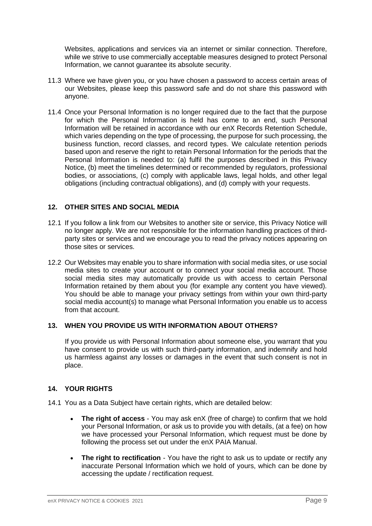Websites, applications and services via an internet or similar connection. Therefore, while we strive to use commercially acceptable measures designed to protect Personal Information, we cannot guarantee its absolute security.

- 11.3 Where we have given you, or you have chosen a password to access certain areas of our Websites, please keep this password safe and do not share this password with anyone.
- 11.4 Once your Personal Information is no longer required due to the fact that the purpose for which the Personal Information is held has come to an end, such Personal Information will be retained in accordance with our enX Records Retention Schedule, which varies depending on the type of processing, the purpose for such processing, the business function, record classes, and record types. We calculate retention periods based upon and reserve the right to retain Personal Information for the periods that the Personal Information is needed to: (a) fulfil the purposes described in this Privacy Notice, (b) meet the timelines determined or recommended by regulators, professional bodies, or associations, (c) comply with applicable laws, legal holds, and other legal obligations (including contractual obligations), and (d) comply with your requests.

## **12. OTHER SITES AND SOCIAL MEDIA**

- 12.1 If you follow a link from our Websites to another site or service, this Privacy Notice will no longer apply. We are not responsible for the information handling practices of thirdparty sites or services and we encourage you to read the privacy notices appearing on those sites or services.
- 12.2 Our Websites may enable you to share information with social media sites, or use social media sites to create your account or to connect your social media account. Those social media sites may automatically provide us with access to certain Personal Information retained by them about you (for example any content you have viewed). You should be able to manage your privacy settings from within your own third-party social media account(s) to manage what Personal Information you enable us to access from that account.

#### **13. WHEN YOU PROVIDE US WITH INFORMATION ABOUT OTHERS?**

If you provide us with Personal Information about someone else, you warrant that you have consent to provide us with such third-party information, and indemnify and hold us harmless against any losses or damages in the event that such consent is not in place.

#### **14. YOUR RIGHTS**

- 14.1 You as a Data Subject have certain rights, which are detailed below:
	- **The right of access**  You may ask enX (free of charge) to confirm that we hold your Personal Information, or ask us to provide you with details, (at a fee) on how we have processed your Personal Information, which request must be done by following the process set out under the enX PAIA Manual.
	- **The right to rectification** You have the right to ask us to update or rectify any inaccurate Personal Information which we hold of yours, which can be done by accessing the update / rectification request.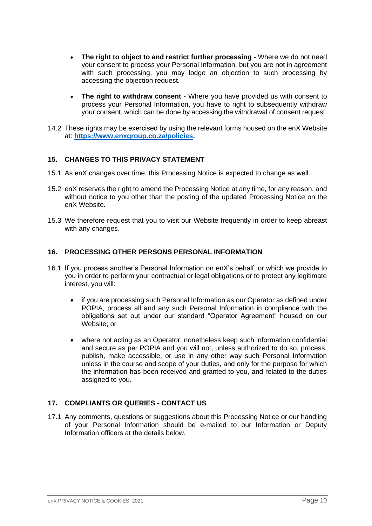- **The right to object to and restrict further processing**  Where we do not need your consent to process your Personal Information, but you are not in agreement with such processing, you may lodge an objection to such processing by accessing the objection request.
- **The right to withdraw consent**  Where you have provided us with consent to process your Personal Information, you have to right to subsequently withdraw your consent, which can be done by accessing the withdrawal of consent request.
- 14.2 These rights may be exercised by using the relevant forms housed on the enX Website at: **[https://www.enxgroup.co.za/policies.](https://www.enxgroup.co.za/policies)**

## **15. CHANGES TO THIS PRIVACY STATEMENT**

- 15.1 As enX changes over time, this Processing Notice is expected to change as well.
- 15.2 enX reserves the right to amend the Processing Notice at any time, for any reason, and without notice to you other than the posting of the updated Processing Notice on the enX Website.
- 15.3 We therefore request that you to visit our Website frequently in order to keep abreast with any changes.

#### **16. PROCESSING OTHER PERSONS PERSONAL INFORMATION**

- 16.1 If you process another's Personal Information on enX's behalf, or which we provide to you in order to perform your contractual or legal obligations or to protect any legitimate interest, you will:
	- if you are processing such Personal Information as our Operator as defined under POPIA, process all and any such Personal Information in compliance with the obligations set out under our standard "Operator Agreement" housed on our Website; or
	- where not acting as an Operator, nonetheless keep such information confidential and secure as per POPIA and you will not, unless authorized to do so, process, publish, make accessible, or use in any other way such Personal Information unless in the course and scope of your duties, and only for the purpose for which the information has been received and granted to you, and related to the duties assigned to you.

# **17. COMPLIANTS OR QUERIES - CONTACT US**

17.1 Any comments, questions or suggestions about this Processing Notice or our handling of your Personal Information should be e-mailed to our Information or Deputy Information officers at the details below.